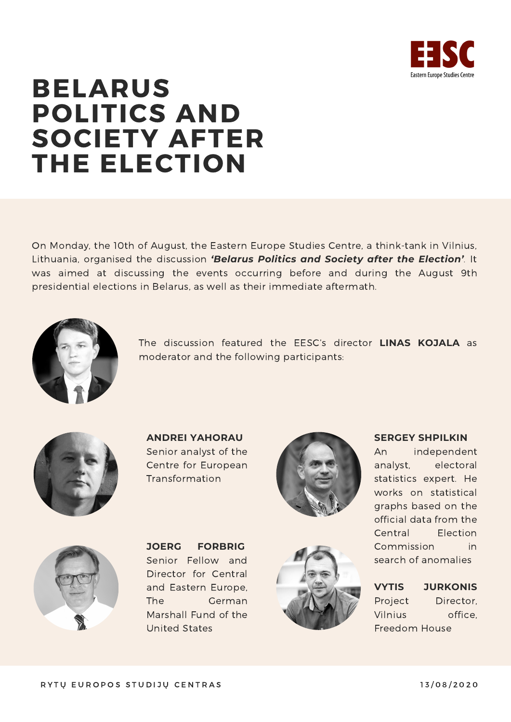

# BELARUS POLITICS AND SOCIETY AFTER THE ELECTION

On Monday, the 10th of August, the Eastern Europe Studies Centre, a think-tank in Vilnius, Lithuania, organised the discussion *'Belarus Politics and Society after the Election'.* It was aimed at discussing the events occurring before and during the August 9th presidential elections in Belarus, as well as their immediate aftermath.



The discussion featured the EESC's director **LINAS KOJALA** as moderator and the following participants:



**ANDREI YAHORAU** Senior analyst of the Centre for European **Transformation** 





**JOERG FORBRIG** Senior Fellow and Director for Central and Eastern Europe, The German Marshall Fund of the United States



## **SERGEY SHPILKIN**

An independent analyst, electoral statistics expert. He works on statistical graphs based on the official data from the Central Election Commission in search of anomalies

**VYTIS JURKONIS** Project Director, Vilnius office, Freedom House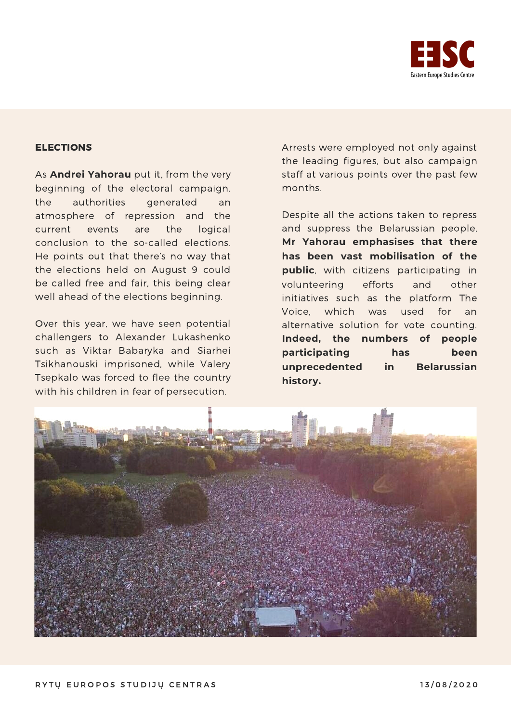

## ELECTIONS

As **Andrei Yahorau** put it, from the very beginning of the electoral campaign, the authorities generated an atmosphere of repression and the current events are the logical conclusion to the so-called elections. He points out that there's no way that the elections held on August 9 could be called free and fair, this being clear well ahead of the elections beginning.

Over this year, we have seen potential challengers to Alexander Lukashenko such as Viktar Babaryka and Siarhei Tsikhanouski imprisoned, while Valery Tsepkalo was forced to flee the country with his children in fear of persecution.

Arrests were employed not only against the leading figures, but also campaign staff at various points over the past few months.

Despite all the actions taken to repress and suppress the Belarussian people, **Mr Yahorau emphasises that there has been vast mobilisation of the public**, with citizens participating in volunteering efforts and other initiatives such as the platform The Voice, which was used for an alternative solution for vote counting. **Indeed, the numbers of people participating has been unprecedented in Belarussian history.**

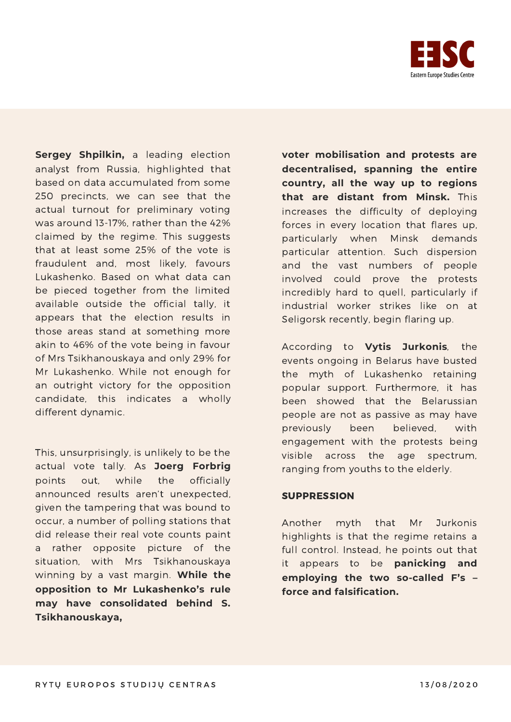

**Sergey Shpilkin,** a leading election analyst from Russia, highlighted that based on data accumulated from some 250 precincts, we can see that the actual turnout for preliminary voting was around 13-17%, rather than the 42% claimed by the regime. This suggests that at least some 25% of the vote is fraudulent and, most likely, favours Lukashenko. Based on what data can be pieced together from the limited available outside the official tally, it appears that the election results in those areas stand at something more akin to 46% of the vote being in favour of Mrs Tsikhanouskaya and only 29% for Mr Lukashenko. While not enough for an outright victory for the opposition candidate, this indicates a wholly different dynamic.

This, unsurprisingly, is unlikely to be the actual vote tally. As **Joerg Forbrig** points out, while the officially announced results aren't unexpected, given the tampering that was bound to occur, a number of polling stations that did release their real vote counts paint a rather opposite picture of the situation, with Mrs Tsikhanouskaya winning by a vast margin. **While the opposition to Mr Lukashenko's rule may have consolidated behind S. Tsikhanouskaya,**

**voter mobilisation and protests are decentralised, spanning the entire country, all the way up to regions that are distant from Minsk.** This increases the difficulty of deploying forces in every location that flares up, particularly when Minsk demands particular attention. Such dispersion and the vast numbers of people involved could prove the protests incredibly hard to quell, particularly if industrial worker strikes like on at Seligorsk recently, begin flaring up.

According to **Vytis Jurkonis**, the events ongoing in Belarus have busted the myth of Lukashenko retaining popular support. Furthermore, it has been showed that the Belarussian people are not as passive as may have previously been believed, with engagement with the protests being visible across the age spectrum, ranging from youths to the elderly.

#### SUPPRESSION

Another myth that Mr Jurkonis highlights is that the regime retains a full control. Instead, he points out that it appears to be **panicking and employing the two so-called F's – force and falsification.**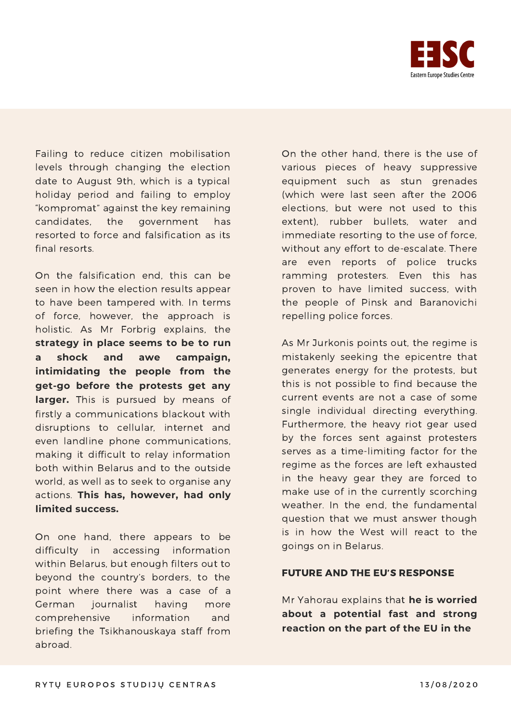

Failing to reduce citizen mobilisation levels through changing the election date to August 9th, which is a typical holiday period and failing to employ "kompromat" against the key remaining candidates, the government has resorted to force and falsification as its final resorts.

On the falsification end, this can be seen in how the election results appear to have been tampered with. In terms of force, however, the approach is holistic. As Mr Forbrig explains, the **strategy in place seems to be to run a shock and awe campaign, intimidating the people from the get-go before the protests get any larger.** This is pursued by means of firstly a communications blackout with disruptions to cellular, internet and even landline phone communications, making it difficult to relay information both within Belarus and to the outside world, as well as to seek to organise any actions. **This has, however, had only limited success.**

On one hand, there appears to be difficulty in accessing information within Belarus, but enough filters out to beyond the country's borders, to the point where there was a case of a German journalist having more comprehensive information and briefing the Tsikhanouskaya staff from abroad.

On the other hand, there is the use of various pieces of heavy suppressive equipment such as stun grenades (which were last seen after the 2006 elections, but were not used to this extent), rubber bullets, water and immediate resorting to the use of force, without any effort to de-escalate. There are even reports of police trucks ramming protesters. Even this has proven to have limited success, with the people of Pinsk and Baranovichi repelling police forces.

As Mr Jurkonis points out, the regime is mistakenly seeking the epicentre that generates energy for the protests, but this is not possible to find because the current events are not a case of some single individual directing everything. Furthermore, the heavy riot gear used by the forces sent against protesters serves as a time-limiting factor for the regime as the forces are left exhausted in the heavy gear they are forced to make use of in the currently scorching weather. In the end, the fundamental question that we must answer though is in how the West will react to the goings on in Belarus.

#### FUTURE AND THE EU'S RESPONSE

Mr Yahorau explains that **he is worried about a potential fast and strong reaction on the part of the EU in the**